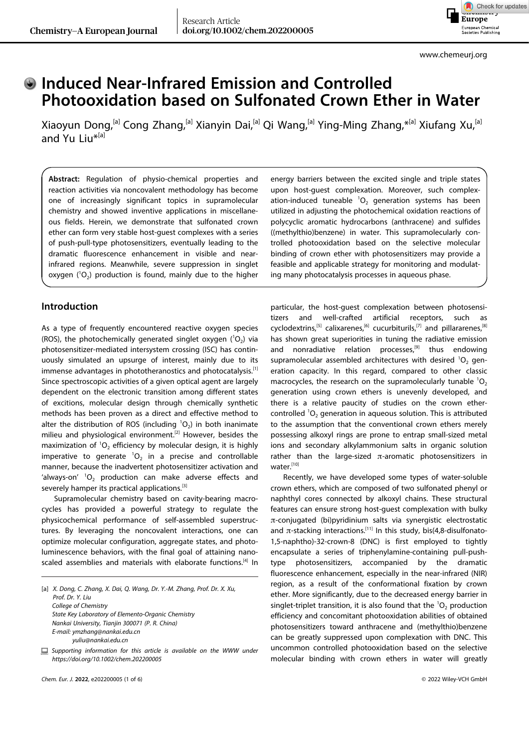Check for updates **Europe** European Chemical<br>Societies Publishing

## **Induced Near-Infrared Emission and Controlled Photooxidation based on Sulfonated Crown Ether in Water**

Xiaoyun Dong,<sup>[a]</sup> Cong Zhang,<sup>[a]</sup> Xianyin Dai,<sup>[a]</sup> Qi Wang,<sup>[a]</sup> Ying-Ming Zhang,\*<sup>[a]</sup> Xiufang Xu,<sup>[a]</sup> and Yu [Liu](http://orcid.org/0000-0001-8723-1896)\*[a]

**Abstract:** Regulation of physio-chemical properties and reaction activities via noncovalent methodology has become one of increasingly significant topics in supramolecular chemistry and showed inventive applications in miscellaneous fields. Herein, we demonstrate that sulfonated crown ether can form very stable host-guest complexes with a series of push-pull-type photosensitizers, eventually leading to the dramatic fluorescence enhancement in visible and nearinfrared regions. Meanwhile, severe suppression in singlet oxygen  $(^{1}O_{2})$  production is found, mainly due to the higher

#### **Introduction**

As a type of frequently encountered reactive oxygen species (ROS), the photochemically generated singlet oxygen  $(^1O_2)$  via photosensitizer-mediated intersystem crossing (ISC) has continuously simulated an upsurge of interest, mainly due to its immense advantages in phototheranostics and photocatalysis.<sup>[1]</sup> Since spectroscopic activities of a given optical agent are largely dependent on the electronic transition among different states of excitions, molecular design through chemically synthetic methods has been proven as a direct and effective method to alter the distribution of ROS (including  ${}^{1}O_{2}$ ) in both inanimate milieu and physiological environment.<sup>[2]</sup> However, besides the maximization of  ${}^{1}O_{2}$  efficiency by molecular design, it is highly imperative to generate  ${}^{1}O_{2}$  in a precise and controllable manner, because the inadvertent photosensitizer activation and 'always-on'  ${}^{1}O_{2}$  production can make adverse effects and severely hamper its practical applications.<sup>[3]</sup>

Supramolecular chemistry based on cavity-bearing macrocycles has provided a powerful strategy to regulate the physicochemical performance of self-assembled superstructures. By leveraging the noncovalent interactions, one can optimize molecular configuration, aggregate states, and photoluminescence behaviors, with the final goal of attaining nanoscaled assemblies and materials with elaborate functions.<sup>[4]</sup> In

[a] *X. Dong, C. Zhang, X. Dai, Q. Wang, Dr. Y.-M. Zhang, Prof. Dr. X. Xu, Prof. Dr. Y. Liu College of Chemistry State Key Laboratory of Elemento-Organic Chemistry Nankai University, Tianjin 300071 (P. R. China) E-mail: ymzhang@nankai.edu.cn yuliu@nankai.edu.cn*

*Supporting information for this article is available on the WWW under <https://doi.org/10.1002/chem.202200005>*

energy barriers between the excited single and triple states upon host-guest complexation. Moreover, such complexation-induced tuneable  ${}^{1}O_{2}$  generation systems has been utilized in adjusting the photochemical oxidation reactions of polycyclic aromatic hydrocarbons (anthracene) and sulfides ((methylthio)benzene) in water. This supramolecularly controlled photooxidation based on the selective molecular binding of crown ether with photosensitizers may provide a feasible and applicable strategy for monitoring and modulating many photocatalysis processes in aqueous phase.

particular, the host-guest complexation between photosensitizers and well-crafted artificial receptors, such as cyclodextrins,<sup>[5]</sup> calixarenes,<sup>[6]</sup> cucurbiturils,<sup>[7]</sup> and pillararenes,<sup>[8]</sup> has shown great superiorities in tuning the radiative emission and nonradiative relation processes, $[9]$  thus endowing supramolecular assembled architectures with desired  ${}^{1}O_{2}$  generation capacity. In this regard, compared to other classic macrocycles, the research on the supramolecularly tunable  ${}^{1}O_{2}$ generation using crown ethers is unevenly developed, and there is a relative paucity of studies on the crown ethercontrolled  ${}^{1}O_{2}$  generation in aqueous solution. This is attributed to the assumption that the conventional crown ethers merely possessing alkoxyl rings are prone to entrap small-sized metal ions and secondary alkylammonium salts in organic solution rather than the large-sized  $\pi$ -aromatic photosensitizers in water.[10]

Recently, we have developed some types of water-soluble crown ethers, which are composed of two sulfonated phenyl or naphthyl cores connected by alkoxyl chains. These structural features can ensure strong host-guest complexation with bulky π-conjugated (bi)pyridinium salts via synergistic electrostatic and  $\pi$ -stacking interactions.<sup>[11]</sup> In this study, bis(4,8-disulfonato-1,5-naphtho)-32-crown-8 (DNC) is first employed to tightly encapsulate a series of triphenylamine-containing pull-pushtype photosensitizers, accompanied by the dramatic fluorescence enhancement, especially in the near-infrared (NIR) region, as a result of the conformational fixation by crown ether. More significantly, due to the decreased energy barrier in singlet-triplet transition, it is also found that the  ${}^{1}O_{2}$  production efficiency and concomitant photooxidation abilities of obtained photosensitizers toward anthracene and (methylthio)benzene can be greatly suppressed upon complexation with DNC. This uncommon controlled photooxidation based on the selective molecular binding with crown ethers in water will greatly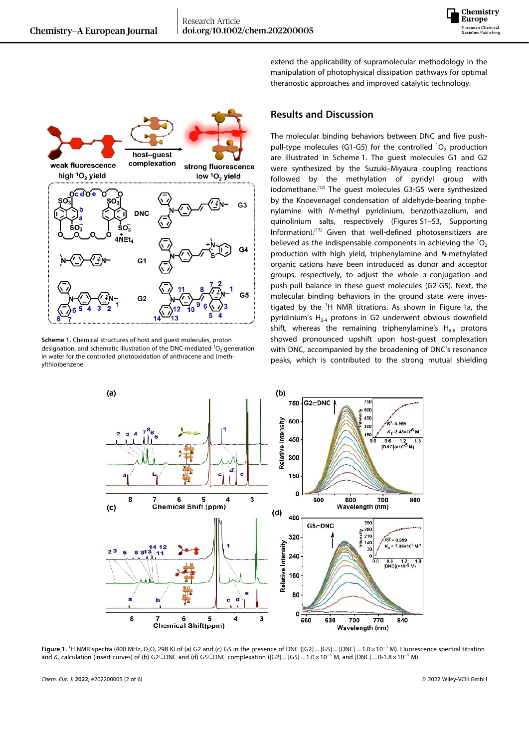



**Scheme 1.** Chemical structures of host and guest molecules, proton designation, and schematic illustration of the DNC-mediated  ${}^{1}O_{2}$  generation in water for the controlled photooxidation of anthracene and (methylthio)benzene.

extend the applicability of supramolecular methodology in the manipulation of photophysical dissipation pathways for optimal theranostic approaches and improved catalytic technology.

### **Results and Discussion**

The molecular binding behaviors between DNC and five pushpull-type molecules (G1-G5) for the controlled  ${}^{1}O_{2}$  production are illustrated in Scheme 1. The guest molecules G1 and G2 were synthesized by the Suzuki–Miyaura coupling reactions followed by the methylation of pyridyl group with iodomethane.<sup>[12]</sup> The guest molecules G3-G5 were synthesized by the Knoevenagel condensation of aldehyde-bearing triphenylamine with *N*-methyl pyridinium, benzothiazolium, and quinolinium salts, respectively (Figures S1–S3, Supporting Information).[13] Given that well-defined photosensitizers are believed as the indispensable components in achieving the  ${}^{1}O_{2}$ production with high yield, triphenylamine and *N*-methylated organic cations have been introduced as donor and acceptor groups, respectively, to adjust the whole  $\pi$ -conjugation and push-pull balance in these guest molecules (G2-G5). Next, the molecular binding behaviors in the ground state were investigated by the <sup>1</sup>H NMR titrations. As shown in Figure 1a, the pyridinium's  $H<sub>2-4</sub>$  protons in G2 underwent obvious downfield shift, whereas the remaining triphenylamine's  $H_{6-8}$  protons showed pronounced upshift upon host-guest complexation with DNC, accompanied by the broadening of DNC's resonance peaks, which is contributed to the strong mutual shielding



**Figure** 1. <sup>1</sup>H NMR spectra (400 MHz, D<sub>2</sub>O, 298 K) of (a) G2 and (c) G5 in the presence of DNC ([G2] = [G5] = [DNC] = 1.0×10<sup>-3</sup> M). Fluorescence spectral titration and  $K_a$  calculation (insert curves) of (b) G2 $\subseteq$ DNC and (d) G5 $\subseteq$ DNC complexation ([G2]=[G5]=1.0×10<sup>-5</sup> M, and [DNC]=0-1.8×10<sup>-5</sup> M).

*Chem. Eur. J.* **2022**, e202200005 (2 of 6) © 2022 Wiley-VCH GmbH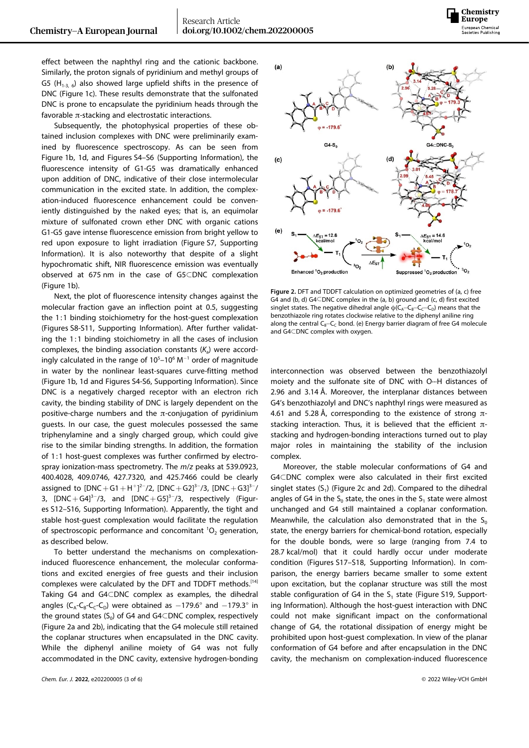effect between the naphthyl ring and the cationic backbone. Similarly, the proton signals of pyridinium and methyl groups of G5 (H<sub>1-3, 6</sub>) also showed large upfield shifts in the presence of DNC (Figure 1c). These results demonstrate that the sulfonated DNC is prone to encapsulate the pyridinium heads through the favorable  $\pi$ -stacking and electrostatic interactions.

Subsequently, the photophysical properties of these obtained inclusion complexes with DNC were preliminarily examined by fluorescence spectroscopy. As can be seen from Figure 1b, 1d, and Figures S4–S6 (Supporting Information), the fluorescence intensity of G1-G5 was dramatically enhanced upon addition of DNC, indicative of their close intermolecular communication in the excited state. In addition, the complexation-induced fluorescence enhancement could be conveniently distinguished by the naked eyes; that is, an equimolar mixture of sulfonated crown ether DNC with organic cations G1-G5 gave intense fluorescence emission from bright yellow to red upon exposure to light irradiation (Figure S7, Supporting Information). It is also noteworthy that despite of a slight hypochromatic shift, NIR fluorescence emission was eventually observed at 675 nm in the case of G5�DNC complexation (Figure 1b).

Next, the plot of fluorescence intensity changes against the molecular fraction gave an inflection point at 0.5, suggesting the 1:1 binding stoichiometry for the host-guest complexation (Figures S8-S11, Supporting Information). After further validating the 1:1 binding stoichiometry in all the cases of inclusion complexes, the binding association constants  $(K_a)$  were accordingly calculated in the range of  $10^5$ –10<sup>6</sup> M<sup>-1</sup> order of magnitude in water by the nonlinear least-squares curve-fitting method (Figure 1b, 1d and Figures S4-S6, Supporting Information). Since DNC is a negatively charged receptor with an electron rich cavity, the binding stability of DNC is largely dependent on the positive-charge numbers and the  $\pi$ -conjugation of pyridinium guests. In our case, the guest molecules possessed the same triphenylamine and a singly charged group, which could give rise to the similar binding strengths. In addition, the formation of 1:1 host-guest complexes was further confirmed by electrospray ionization-mass spectrometry. The *m*/*z* peaks at 539.0923, 400.4028, 409.0746, 427.7320, and 425.7466 could be clearly assigned to  $[DNC + G1 + H^+]^{2-}/2$ ,  $[DNC + G2]^{3-}/3$ ,  $[DNC + G3]^{3-}/3$ 3,  $[DNC+G4]^{3-}/3$ , and  $[DNC+G5]^{3-}/3$ , respectively (Figures S12–S16, Supporting Information). Apparently, the tight and stable host-guest complexation would facilitate the regulation of spectroscopic performance and concomitant  ${}^{1}O_{2}$  generation, as described below.

To better understand the mechanisms on complexationinduced fluorescence enhancement, the molecular conformations and excited energies of free guests and their inclusion complexes were calculated by the DFT and TDDFT methods.[14] Taking G4 and G4CDNC complex as examples, the dihedral angles ( $C_A$ - $C_B$ - $C_C$ - $C_D$ ) were obtained as  $-179.6^\circ$  and  $-179.3^\circ$  in the ground states  $(S_0)$  of G4 and G4 $\subset$ DNC complex, respectively (Figure 2a and 2b), indicating that the G4 molecule still retained the coplanar structures when encapsulated in the DNC cavity. While the diphenyl aniline moiety of G4 was not fully accommodated in the DNC cavity, extensive hydrogen-bonding



**Figure 2.** DFT and TDDFT calculation on optimized geometries of (a, c) free G4 and (b, d) G4 $\subset$ DNC complex in the (a, b) ground and (c, d) first excited singlet states. The negative dihedral angle  $\varphi(C_A - C_B - C_C - C_D)$  means that the benzothiazole ring rotates clockwise relative to the diphenyl aniline ring along the central  $C_8 - C_0$  bond. (e) Energy barrier diagram of free G4 molecule and G4CDNC complex with oxygen.

interconnection was observed between the benzothiazolyl moiety and the sulfonate site of DNC with O···H distances of 2.96 and 3.14 Å. Moreover, the interplanar distances between G4's benzothiazolyl and DNC's naphthyl rings were measured as 4.61 and 5.28 Å, corresponding to the existence of strong  $\pi$ stacking interaction. Thus, it is believed that the efficient  $\pi$ stacking and hydrogen-bonding interactions turned out to play major roles in maintaining the stability of the inclusion complex.

Moreover, the stable molecular conformations of G4 and G4CDNC complex were also calculated in their first excited singlet states  $(S_1)$  (Figure 2c and 2d). Compared to the dihedral angles of G4 in the  $S_0$  state, the ones in the  $S_1$  state were almost unchanged and G4 still maintained a coplanar conformation. Meanwhile, the calculation also demonstrated that in the  $S_0$ state, the energy barriers for chemical-bond rotation, especially for the double bonds, were so large (ranging from 7.4 to 28.7 kcal/mol) that it could hardly occur under moderate condition (Figures S17–S18, Supporting Information). In comparison, the energy barriers became smaller to some extent upon excitation, but the coplanar structure was still the most stable configuration of G4 in the  $S_1$  state (Figure S19, Supporting Information). Although the host-guest interaction with DNC could not make significant impact on the conformational change of G4, the rotational dissipation of energy might be prohibited upon host-guest complexation. In view of the planar conformation of G4 before and after encapsulation in the DNC cavity, the mechanism on complexation-induced fluorescence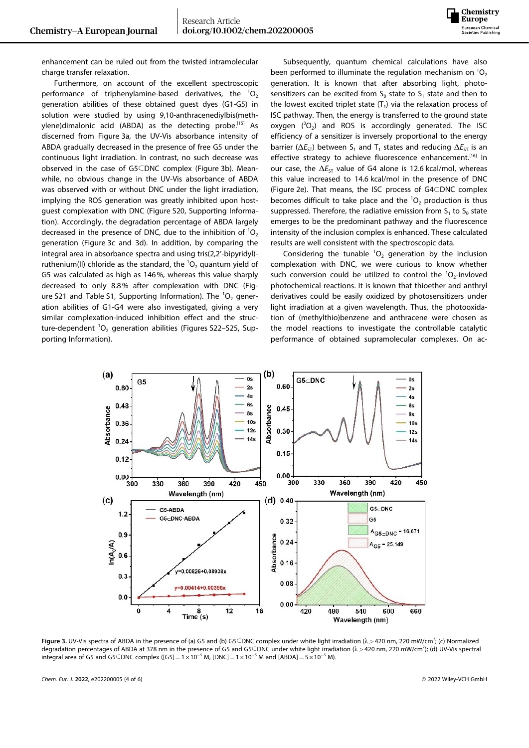

enhancement can be ruled out from the twisted intramolecular charge transfer relaxation.

Furthermore, on account of the excellent spectroscopic performance of triphenylamine-based derivatives, the  ${}^{1}O_{2}$ generation abilities of these obtained guest dyes (G1-G5) in solution were studied by using 9,10-anthracenediylbis(methylene)dimalonic acid (ABDA) as the detecting probe.<sup>[15]</sup> As discerned from Figure 3a, the UV-Vis absorbance intensity of ABDA gradually decreased in the presence of free G5 under the continuous light irradiation. In contrast, no such decrease was observed in the case of G5CDNC complex (Figure 3b). Meanwhile, no obvious change in the UV-Vis absorbance of ABDA was observed with or without DNC under the light irradiation, implying the ROS generation was greatly inhibited upon hostguest complexation with DNC (Figure S20, Supporting Information). Accordingly, the degradation percentage of ABDA largely decreased in the presence of DNC, due to the inhibition of  ${}^{1}O_{2}$ generation (Figure 3c and 3d). In addition, by comparing the integral area in absorbance spectra and using tris(2,2'-bipyridyl) ruthenium(II) chloride as the standard, the  ${}^{1}O_{2}$  quantum yield of G5 was calculated as high as 146%, whereas this value sharply decreased to only 8.8% after complexation with DNC (Figure S21 and Table S1, Supporting Information). The  ${}^{1}O_{2}$  generation abilities of G1-G4 were also investigated, giving a very similar complexation-induced inhibition effect and the structure-dependent  $^{1}O_{2}$  generation abilities (Figures S22–S25, Supporting Information).

Subsequently, quantum chemical calculations have also been performed to illuminate the regulation mechanism on  ${}^{1}O_{2}$ generation. It is known that after absorbing light, photosensitizers can be excited from  $S_0$  state to  $S_1$  state and then to the lowest excited triplet state  $(T_1)$  via the relaxation process of ISC pathway. Then, the energy is transferred to the ground state oxygen  $(^{3}O_{2})$  and ROS is accordingly generated. The ISC efficiency of a sensitizer is inversely proportional to the energy barrier ( $\Delta E_{ST}$ ) between S<sub>1</sub> and T<sub>1</sub> states and reducing  $\Delta E_{ST}$  is an effective strategy to achieve fluorescence enhancement.<sup>[16]</sup> In our case, the ΔE<sub>ST</sub> value of G4 alone is 12.6 kcal/mol, whereas this value increased to 14.6 kcal/mol in the presence of DNC (Figure 2e). That means, the ISC process of G4CDNC complex becomes difficult to take place and the  ${}^{1}O_{2}$  production is thus suppressed. Therefore, the radiative emission from  $S_1$  to  $S_0$  state emerges to be the predominant pathway and the fluorescence intensity of the inclusion complex is enhanced. These calculated results are well consistent with the spectroscopic data.

Considering the tunable  ${}^{1}O_{2}$  generation by the inclusion complexation with DNC, we were curious to know whether such conversion could be utilized to control the  ${}^{1}O_{2}$ -invloved photochemical reactions. It is known that thioether and anthryl derivatives could be easily oxidized by photosensitizers under light irradiation at a given wavelength. Thus, the photooxidation of (methylthio)benzene and anthracene were chosen as the model reactions to investigate the controllable catalytic performance of obtained supramolecular complexes. On ac-



**Figure 3.** UV-Vis spectra of ABDA in the presence of (a) G5 and (b) G5⊂DNC complex under white light irradiation (λ>420 nm, 220 mW/cm<sup>2</sup>; (c) Normalized degradation percentages of ABDA at 378 nm in the presence of G5 and G5⊂DNC under white light irradiation (λ>420 nm, 220 mW/cm<sup>2</sup>); (d) UV-Vis spectral integral area of G5 and G5 $\subset$ DNC complex ([G5] =  $1\times 10^{-5}$  M, [DNC] =  $1\times 10^{-5}$  M and [ABDA] =  $5\times 10^{-5}$  M).

*Chem. Eur. J.* **2022**, e202200005 (4 of 6) © 2022 Wiley-VCH GmbH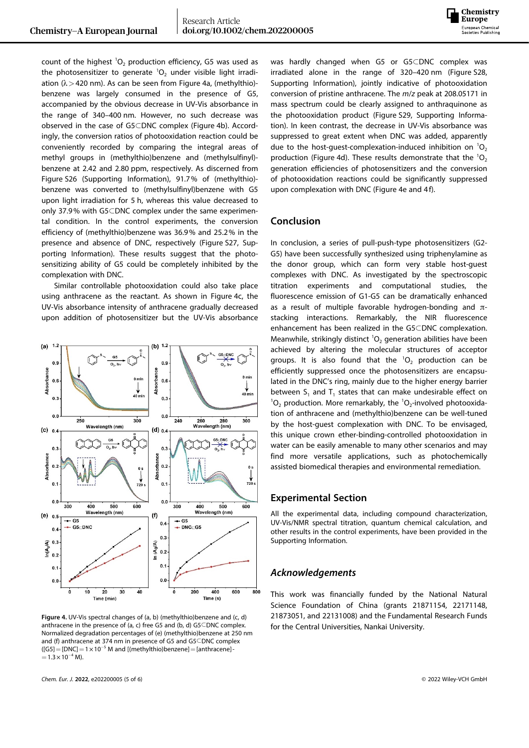

count of the highest  ${}^{1}O_{2}$  production efficiency, G5 was used as the photosensitizer to generate  ${}^{1}O_{2}$  under visible light irradiation (λ*>*420 nm). As can be seen from Figure 4a, (methylthio) benzene was largely consumed in the presence of G5, accompanied by the obvious decrease in UV-Vis absorbance in the range of 340–400 nm. However, no such decrease was observed in the case of G5CDNC complex (Figure 4b). Accordingly, the conversion ratios of photooxidation reaction could be conveniently recorded by comparing the integral areas of methyl groups in (methylthio)benzene and (methylsulfinyl) benzene at 2.42 and 2.80 ppm, respectively. As discerned from Figure S26 (Supporting Information), 91.7% of (methylthio) benzene was converted to (methylsulfinyl)benzene with G5 upon light irradiation for 5 h, whereas this value decreased to only 37.9% with  $G5$ CDNC complex under the same experimental condition. In the control experiments, the conversion efficiency of (methylthio)benzene was 36.9% and 25.2% in the presence and absence of DNC, respectively (Figure S27, Supporting Information). These results suggest that the photosensitizing ability of G5 could be completely inhibited by the complexation with DNC.

Similar controllable photooxidation could also take place using anthracene as the reactant. As shown in Figure 4c, the UV-Vis absorbance intensity of anthracene gradually decreased upon addition of photosensitizer but the UV-Vis absorbance



**Figure 4.** UV-Vis spectral changes of (a, b) (methylthio)benzene and (c, d) anthracene in the presence of (a, c) free G5 and (b, d) G5 $\subseteq$ DNC complex. Normalized degradation percentages of (e) (methylthio)benzene at 250 nm and (f) anthracene at 374 nm in presence of G5 and  $G5CDNC$  complex  $(G5]=[DNC]=1\times 10^{-5}$  M and [(methylthio)benzene] = [anthracene] - $=1.3\times 10^{-4}$  M).

was hardly changed when G5 or G5CDNC complex was irradiated alone in the range of 320–420 nm (Figure S28, Supporting Information), jointly indicative of photooxidation conversion of pristine anthracene. The *m*/*z* peak at 208.05171 in mass spectrum could be clearly assigned to anthraquinone as the photooxidation product (Figure S29, Supporting Information). In keen contrast, the decrease in UV-Vis absorbance was suppressed to great extent when DNC was added, apparently due to the host-guest-complexation-induced inhibition on  ${}^{1}O_{2}$ production (Figure 4d). These results demonstrate that the  ${}^{1}O_{2}$ generation efficiencies of photosensitizers and the conversion of photooxidation reactions could be significantly suppressed upon complexation with DNC (Figure 4e and 4f).

#### **Conclusion**

In conclusion, a series of pull-push-type photosensitizers (G2- G5) have been successfully synthesized using triphenylamine as the donor group, which can form very stable host-guest complexes with DNC. As investigated by the spectroscopic titration experiments and computational studies, the fluorescence emission of G1-G5 can be dramatically enhanced as a result of multiple favorable hydrogen-bonding and  $\pi$ stacking interactions. Remarkably, the NIR fluorescence enhancement has been realized in the G5CDNC complexation. Meanwhile, strikingly distinct  ${}^{1}O_{2}$  generation abilities have been achieved by altering the molecular structures of acceptor groups. It is also found that the  ${}^{1}O_{2}$  production can be efficiently suppressed once the photosensitizers are encapsulated in the DNC's ring, mainly due to the higher energy barrier between  $S_1$  and  $T_1$  states that can make undesirable effect on  ${}^{1}O_{2}$  production. More remarkably, the  ${}^{1}O_{2}$ -involved photooxidation of anthracene and (methylthio)benzene can be well-tuned by the host-guest complexation with DNC. To be envisaged, this unique crown ether-binding-controlled photooxidation in water can be easily amenable to many other scenarios and may find more versatile applications, such as photochemically assisted biomedical therapies and environmental remediation.

#### **Experimental Section**

All the experimental data, including compound characterization, UV-Vis/NMR spectral titration, quantum chemical calculation, and other results in the control experiments, have been provided in the Supporting Information.

#### *Acknowledgements*

This work was financially funded by the National Natural Science Foundation of China (grants 21871154, 22171148, 21873051, and 22131008) and the Fundamental Research Funds for the Central Universities, Nankai University.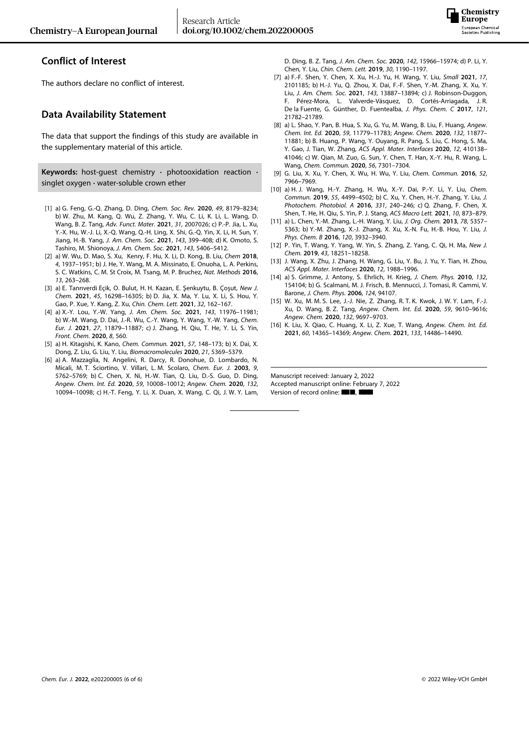

## **Conflict of Interest**

The authors declare no conflict of interest.

### **Data Availability Statement**

The data that support the findings of this study are available in the supplementary material of this article.

**Keywords:** host-guest chemistry **·** photooxidation reaction **·** singlet oxygen **·** water-soluble crown ether

- [1] a) G. Feng, G.-Q. Zhang, D. Ding, *Chem. Soc. Rev.* **2020**, *49*, [8179–8234](https://doi.org/10.1039/D0CS00671H); b) W. Zhu, M. Kang, Q. Wu, Z. Zhang, Y. Wu, C. Li, K. Li, L. Wang, D. Wang, B. Z. Tang, *Adv. Funct. Mater.* **2021**, *31*, [2007026;](https://doi.org/10.1002/adfm.202007026) c) P.-P. Jia, L. Xu, Y.-X. Hu, W.-J. Li, X.-Q. Wang, Q.-H. Ling, X. Shi, G.-Q. Yin, X. Li, H. Sun, Y. Jiang, H.-B. Yang, *J. Am. Chem. Soc.* **2021**, *143*, [399–408;](https://doi.org/10.1021/jacs.0c11370) d) K. Omoto, S. Tashiro, M. Shionoya, *J. Am. Chem. Soc.* **2021**, *143*, [5406–5412.](https://doi.org/10.1021/jacs.0c13338)
- [2] a) W. Wu, D. Mao, S. Xu, Kenry, F. Hu, X. Li, D. Kong, B. Liu, *[Chem](https://doi.org/10.1016/j.chempr.2018.06.003)* **2018**, *4*, [1937–1951](https://doi.org/10.1016/j.chempr.2018.06.003); b) J. He, Y. Wang, M. A. Missinato, E. Onuoha, L. A. Perkins, S. C. Watkins, C. M. St Croix, M. Tsang, M. P. Bruchez, *Nat. [Methods](https://doi.org/10.1038/nmeth.3735)* **2016**, *13*, [263–268](https://doi.org/10.1038/nmeth.3735).
- [3] a) E. Tanrıverdi Eçik, O. Bulut, H. H. Kazan, E. Şenkuytu, B. Çoşut, *New J. Chem.* **2021**, *45*, 16298–16305; b) D. Jia, X. Ma, Y. Lu, X. Li, S. Hou, Y. Gao, P. Xue, Y. Kang, Z. Xu, *Chin. Chem. Lett.* **2021**, *32*, [162–167](https://doi.org/10.1016/j.cclet.2020.11.052).
- [4] a) X.-Y. Lou, Y.-W. Yang, *J. Am. Chem. Soc.* **2021**, *143*, [11976–11981](https://doi.org/10.1021/jacs.1c07006); b) W.-M. Wang, D. Dai, J.-R. Wu, C.-Y. Wang, Y. Wang, Y.-W. Yang, *[Chem.](https://doi.org/10.1002/chem.202101437) Eur. J.* **2021**, *27*, [11879–11887;](https://doi.org/10.1002/chem.202101437) c) J. Zhang, H. Qiu, T. He, Y. Li, S. Yin, *Front. Chem.* **2020**, *8*, 560.
- [5] a) H. Kitagishi, K. Kano, *Chem. [Commun.](https://doi.org/10.1039/D0CC07044K)* **2021**, *57*, 148–173; b) X. Dai, X. Dong, Z. Liu, G. Liu, Y. Liu, *[Biomacromolecules](https://doi.org/10.1021/acs.biomac.0c01547)* **2020**, *21*, 5369–5379.
- [6] a) A. Mazzaglia, N. Angelini, R. Darcy, R. Donohue, D. Lombardo, N. Micali, M. T. Sciortino, V. Villari, L. M. Scolaro, *[Chem.](https://doi.org/10.1002/chem.200304861) Eur. J.* **2003**, *9*, [5762–5769;](https://doi.org/10.1002/chem.200304861) b) C. Chen, X. Ni, H.-W. Tian, Q. Liu, D.-S. Guo, D. Ding, *Angew. Chem. Int. Ed.* **2020**, *59*, [10008–10012;](https://doi.org/10.1002/anie.201916430) *[Angew.](https://doi.org/10.1002/ange.201916430) Chem.* **2020**, *132*, [10094–10098;](https://doi.org/10.1002/ange.201916430) c) H.-T. Feng, Y. Li, X. Duan, X. Wang, C. Qi, J. W. Y. Lam,

D. Ding, B. Z. Tang, *J. Am. Chem. Soc.* **2020**, *142*, [15966–15974;](https://doi.org/10.1021/jacs.0c06872) d) P. Li, Y. Chen, Y. Liu, *Chin. Chem. Lett.* **2019**, *30*, [1190–1197.](https://doi.org/10.1016/j.cclet.2019.03.035)

- [7] a) F.-F. Shen, Y. Chen, X. Xu, H.-J. Yu, H. Wang, Y. Liu, *[Small](https://doi.org/10.1002/smll.202101185)* **2021**, *17*, [2101185](https://doi.org/10.1002/smll.202101185); b) H.-J. Yu, Q. Zhou, X. Dai, F.-F. Shen, Y.-M. Zhang, X. Xu, Y. Liu, *J. Am. Chem. Soc.* **2021**, *143*, [13887–13894;](https://doi.org/10.1021/jacs.1c06741) c) J. Robinson-Duggon, F. Pérez-Mora, L. Valverde-Vásquez, D. Cortés-Arriagada, J. R. De la Fuente, G. Günther, D. Fuentealba, *J. Phys. [Chem.](https://doi.org/10.1021/acs.jpcc.7b07736) C* **2017**, *121*, [21782–21789.](https://doi.org/10.1021/acs.jpcc.7b07736)
- [8] a) L. Shao, Y. Pan, B. Hua, S. Xu, G. Yu, M. Wang, B. Liu, F. Huang, *[Angew.](https://doi.org/10.1002/anie.202000338) Chem. Int. Ed.* **2020**, *59*, [11779–11783;](https://doi.org/10.1002/anie.202000338) *Angew. Chem.* **2020**, *132*, [11877–](https://doi.org/10.1002/ange.202000338) [11881;](https://doi.org/10.1002/ange.202000338) b) B. Huang, P. Wang, Y. Ouyang, R. Pang, S. Liu, C. Hong, S. Ma, Y. Gao, J. Tian, W. Zhang, *ACS Appl. Mater. Interfaces* **2020**, *12*, 410138– 41046; c) W. Qian, M. Zuo, G. Sun, Y. Chen, T. Han, X.-Y. Hu, R. Wang, L. Wang, *Chem. Commun.* **2020**, *56*, [7301–7304](https://doi.org/10.1039/D0CC02962A).
- [9] G. Liu, X. Xu, Y. Chen, X. Wu, H. Wu, Y. Liu, *Chem. [Commun.](https://doi.org/10.1039/C6CC02996E)* **2016**, *52*, [7966–7969.](https://doi.org/10.1039/C6CC02996E)
- [10] a) H. J. Wang, H.-Y. Zhang, H. Wu, X.-Y. Dai, P.-Y. Li, Y. Liu, *[Chem.](https://doi.org/10.1039/C9CC01874C) Commun.* **2019**, *55*, [4499–4502;](https://doi.org/10.1039/C9CC01874C) b) C. Xu, Y. Chen, H.-Y. Zhang, Y. Liu, *[J.](https://doi.org/10.1016/j.jphotochem.2015.04.014) [Photochem.](https://doi.org/10.1016/j.jphotochem.2015.04.014) Photobiol. A* **2016**, *331*, 240–246; c) Q. Zhang, F. Chen, X. Shen, T. He, H. Qiu, S. Yin, P. J. Stang, *ACS Macro Lett.* **2021**, *10*, [873–879.](https://doi.org/10.1021/acsmacrolett.1c00228)
- [11] a) L. Chen, Y.-M. Zhang, L.-H. Wang, Y. Liu, *J. Org. [Chem.](https://doi.org/10.1021/jo400519z)* **2013**, *78*, 5357– [5363;](https://doi.org/10.1021/jo400519z) b) Y.-M. Zhang, X.-J. Zhang, X. Xu, X.-N. Fu, H.-B. Hou, Y. Liu, *[J.](https://doi.org/10.1021/acs.jpcb.6b02646) Phys. Chem. B* **2016**, *120*, [3932–3940.](https://doi.org/10.1021/acs.jpcb.6b02646)
- [12] P. Yin, T. Wang, Y. Yang, W. Yin, S. Zhang, Z. Yang, C. Qi, H. Ma, *[New](https://doi.org/10.1039/C9NJ03993G) J. Chem.* **2019**, *43*, [18251–18258](https://doi.org/10.1039/C9NJ03993G).
- [13] J. Wang, X. Zhu, J. Zhang, H. Wang, G. Liu, Y. Bu, J. Yu, Y. Tian, H. Zhou, *ACS Appl. Mater. Interfaces* **2020**, *12*, [1988–1996.](https://doi.org/10.1021/acsami.9b15577)
- [14] a) S. Grimme, J. Antony, S. Ehrlich, H. Krieg, *J. [Chem.](https://doi.org/10.1063/1.3382344) Phys.* **2010**, *132*, [154104;](https://doi.org/10.1063/1.3382344) b) G. Scalmani, M. J. Frisch, B. Mennucci, J. Tomasi, R. Cammi, V. Barone, *J. Chem. Phys.* **2006**, *124*, 94107.
- [15] W. Xu, M. M. S. Lee, J.-J. Nie, Z. Zhang, R. T. K. Kwok, J. W. Y. Lam, F.-J. Xu, D. Wang, B. Z. Tang, *Angew. Chem. Int. Ed.* **2020**, *59*, [9610–9616;](https://doi.org/10.1002/anie.202000740) *Angew. Chem.* **2020**, *132*, [9697–9703](https://doi.org/10.1002/ange.202000740).
- [16] K. Liu, X. Qiao, C. Huang, X. Li, Z. Xue, T. Wang, *[Angew.](https://doi.org/10.1002/anie.202103471) Chem. Int. Ed.* **2021**, *60*, [14365–14369](https://doi.org/10.1002/anie.202103471); *Angew. Chem.* **2021**, *133*, [14486–14490](https://doi.org/10.1002/ange.202103471).

Manuscript received: January 2, 2022 Accepted manuscript online: February 7, 2022 Version of record online: ■■